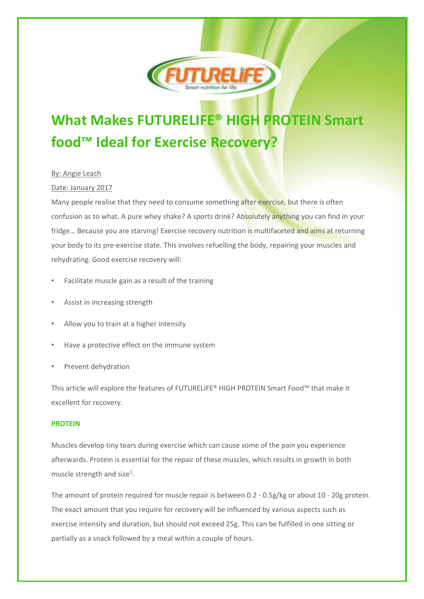

# **What Makes FUTURELIFE® HIGH PROTEIN Smart food™ Ideal for Exercise Recovery?**

# By: Angie Leach

# Date: January 2017

Many people realise that they need to consume something after exercise, but there is often confusion as to what. A pure whey shake? A sports drink? Absolutely anything you can find in your fridge... Because you are starving! Exercise recovery nutrition is multifaceted and aims at returning your body to its pre-exercise state. This involves refuelling the body, repairing your muscles and rehydrating. Good exercise recovery will:

- Facilitate muscle gain as a result of the training
- Assist in increasing strength
- Allow you to train at a higher intensity
- Have a protective effect on the immune system
- Prevent dehydration

This article will explore the features of FUTURELIFE® HIGH PROTEIN Smart Food™ that make it excellent for recovery.

# **PROTEIN**

Muscles develop tiny tears during exercise which can cause some of the pain you experience afterwards. Protein is essential for the repair of these muscles, which results in growth in both muscle strength and size<sup>1</sup>.

The amount of protein required for muscle repair is between 0.2 - 0.5g/kg or about 10 - 20g protein. The exact amount that you require for recovery will be influenced by various aspects such as exercise intensity and duration, but should not exceed 25g. This can be fulfilled in one sitting or partially as a snack followed by a meal within a couple of hours.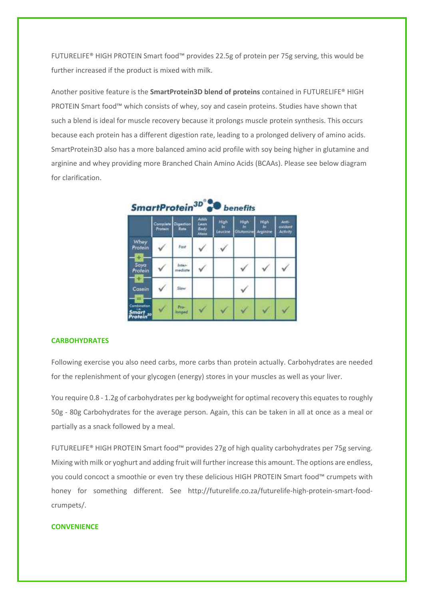FUTURELIFE® HIGH PROTEIN Smart food™ provides 22.5g of protein per 75g serving, this would be further increased if the product is mixed with milk.

Another positive feature is the **SmartProtein3D blend of proteins** contained in FUTURELIFE® HIGH PROTEIN Smart food™ which consists of whey, soy and casein proteins. Studies have shown that such a blend is ideal for muscle recovery because it prolongs muscle protein synthesis. This occurs because each protein has a different digestion rate, leading to a prolonged delivery of amino acids. SmartProtein3D also has a more balanced amino acid profile with soy being higher in glutamine and arginine and whey providing more Branched Chain Amino Acids (BCAAs). Please see below diagram for clarification.

| ,,,,,,,,,,,,                                  |                     |                   |                              |                 |                        |                        |                              |
|-----------------------------------------------|---------------------|-------------------|------------------------------|-----------------|------------------------|------------------------|------------------------------|
|                                               | Complate<br>Protein | Digestion<br>Rate | Adda<br>Lean<br>Body<br>Maiz | High<br>Louckse | High<br>н<br>Glutomine | High<br>٨×<br>Arginine | Anti-<br>oxident<br>Artivity |
| Whey<br>Protein<br>÷                          |                     | Foir              |                              |                 |                        |                        |                              |
| Soya<br>Profein                               |                     | Infer-<br>mediate |                              |                 |                        |                        |                              |
| ÷<br>Casein                                   |                     | Slow              |                              |                 |                        |                        |                              |
| Combination<br>Smart<br>Protein <sup>30</sup> |                     | Pro-<br>Innged    |                              |                 |                        |                        |                              |

SmartProtein<sup>3D°®®</sup> benefits

# **CARBOHYDRATES**

Following exercise you also need carbs, more carbs than protein actually. Carbohydrates are needed for the replenishment of your glycogen (energy) stores in your muscles as well as your liver.

You require 0.8 - 1.2g of carbohydrates per kg bodyweight for optimal recovery this equates to roughly 50g - 80g Carbohydrates for the average person. Again, this can be taken in all at once as a meal or partially as a snack followed by a meal.

FUTURELIFE® HIGH PROTEIN Smart food™ provides 27g of high quality carbohydrates per 75g serving. Mixing with milk or yoghurt and adding fruit will further increase this amount. The options are endless, you could concoct a smoothie or even try these delicious HIGH PROTEIN Smart food™ crumpets with honey for something different. See http://futurelife.co.za/futurelife-high-protein-smart-foodcrumpets/.

# **CONVENIENCE**